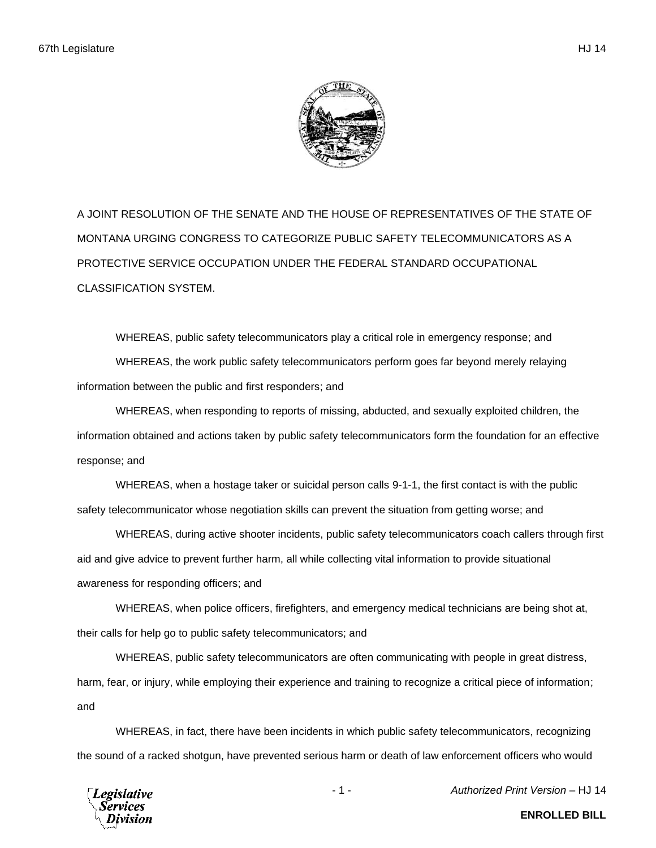A JOINT RESOLUTION OF THE SENATE AND THE HOUSE OF REPRESENTATIVES OF THE STATE OF MONTANA URGING CONGRESS TO CATEGORIZE PUBLIC SAFETY TELECOMMUNICATORS AS A PROTECTIVE SERVICE OCCUPATION UNDER THE FEDERAL STANDARD OCCUPATIONAL CLASSIFICATION SYSTEM.

WHEREAS, public safety telecommunicators play a critical role in emergency response; and WHEREAS, the work public safety telecommunicators perform goes far beyond merely relaying information between the public and first responders; and

WHEREAS, when responding to reports of missing, abducted, and sexually exploited children, the information obtained and actions taken by public safety telecommunicators form the foundation for an effective response; and

WHEREAS, when a hostage taker or suicidal person calls 9-1-1, the first contact is with the public safety telecommunicator whose negotiation skills can prevent the situation from getting worse; and

WHEREAS, during active shooter incidents, public safety telecommunicators coach callers through first aid and give advice to prevent further harm, all while collecting vital information to provide situational awareness for responding officers; and

WHEREAS, when police officers, firefighters, and emergency medical technicians are being shot at, their calls for help go to public safety telecommunicators; and

WHEREAS, public safety telecommunicators are often communicating with people in great distress, harm, fear, or injury, while employing their experience and training to recognize a critical piece of information; and

WHEREAS, in fact, there have been incidents in which public safety telecommunicators, recognizing the sound of a racked shotgun, have prevented serious harm or death of law enforcement officers who would



- 1 - *Authorized Print Version* – HJ 14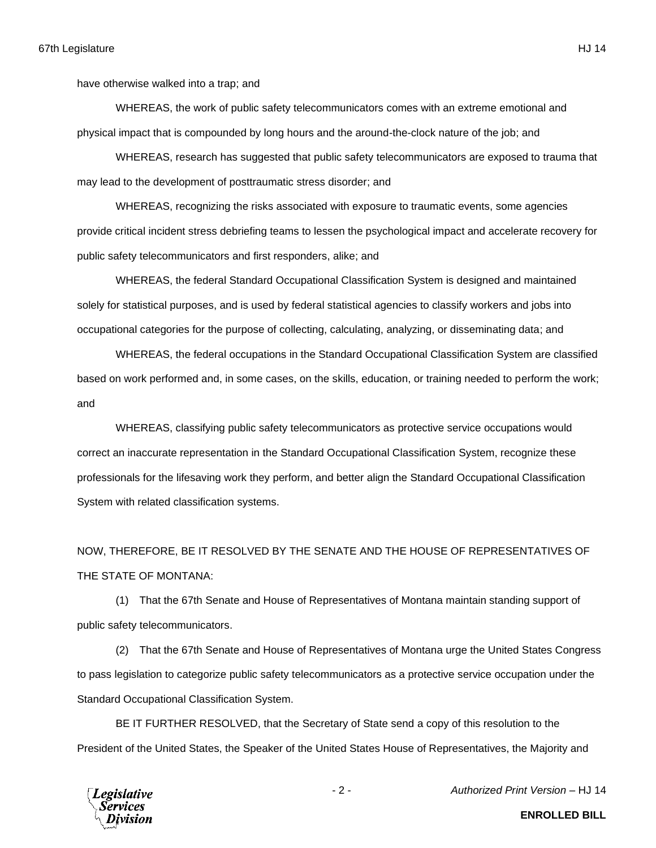have otherwise walked into a trap; and

WHEREAS, the work of public safety telecommunicators comes with an extreme emotional and physical impact that is compounded by long hours and the around-the-clock nature of the job; and

WHEREAS, research has suggested that public safety telecommunicators are exposed to trauma that may lead to the development of posttraumatic stress disorder; and

WHEREAS, recognizing the risks associated with exposure to traumatic events, some agencies provide critical incident stress debriefing teams to lessen the psychological impact and accelerate recovery for public safety telecommunicators and first responders, alike; and

WHEREAS, the federal Standard Occupational Classification System is designed and maintained solely for statistical purposes, and is used by federal statistical agencies to classify workers and jobs into occupational categories for the purpose of collecting, calculating, analyzing, or disseminating data; and

WHEREAS, the federal occupations in the Standard Occupational Classification System are classified based on work performed and, in some cases, on the skills, education, or training needed to perform the work; and

WHEREAS, classifying public safety telecommunicators as protective service occupations would correct an inaccurate representation in the Standard Occupational Classification System, recognize these professionals for the lifesaving work they perform, and better align the Standard Occupational Classification System with related classification systems.

NOW, THEREFORE, BE IT RESOLVED BY THE SENATE AND THE HOUSE OF REPRESENTATIVES OF THE STATE OF MONTANA:

(1) That the 67th Senate and House of Representatives of Montana maintain standing support of public safety telecommunicators.

(2) That the 67th Senate and House of Representatives of Montana urge the United States Congress to pass legislation to categorize public safety telecommunicators as a protective service occupation under the Standard Occupational Classification System.

BE IT FURTHER RESOLVED, that the Secretary of State send a copy of this resolution to the President of the United States, the Speaker of the United States House of Representatives, the Majority and



- 2 - *Authorized Print Version* – HJ 14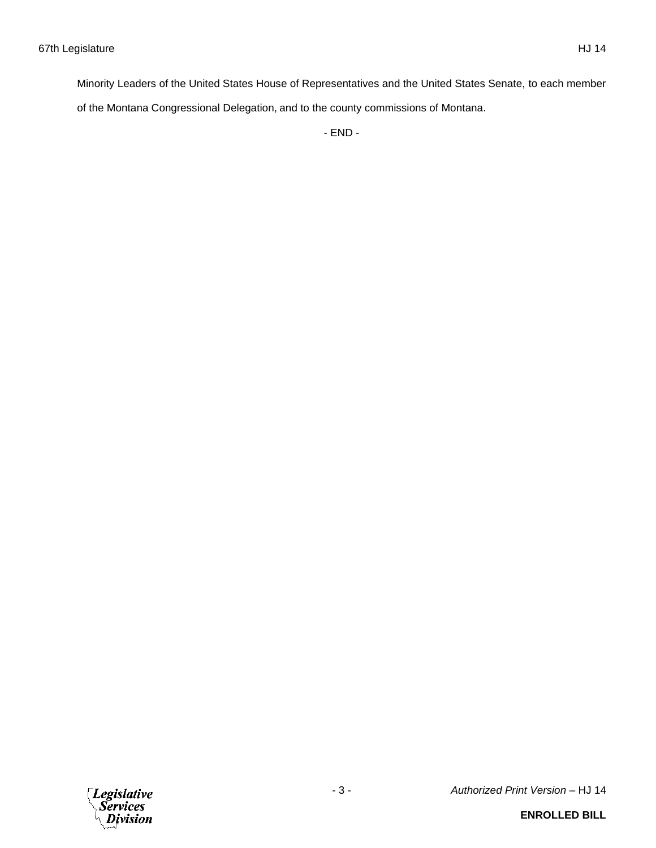Minority Leaders of the United States House of Representatives and the United States Senate, to each member of the Montana Congressional Delegation, and to the county commissions of Montana.

- END -

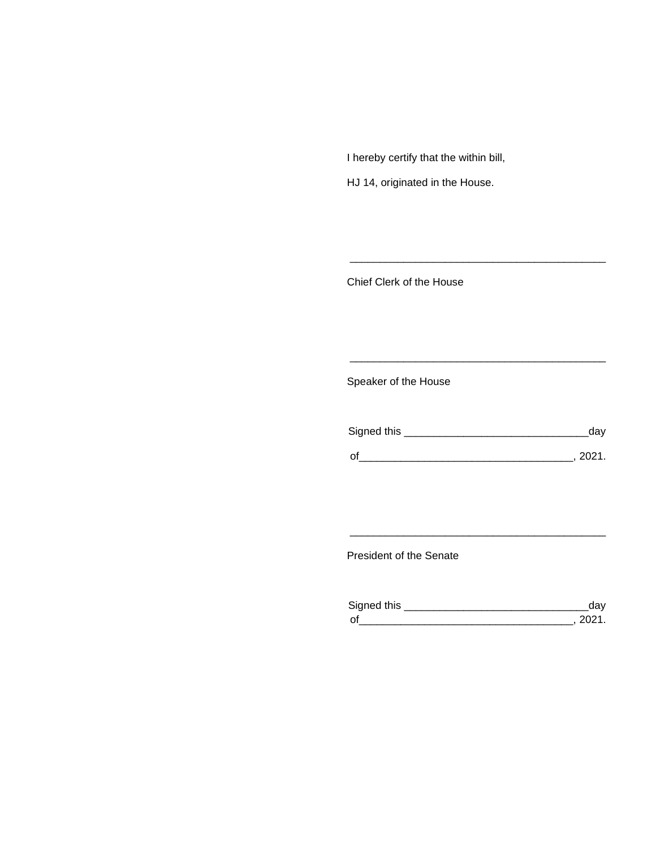I hereby certify that the within bill,

HJ 14, originated in the House.

Chief Clerk of the House

Speaker of the House

| Signed this | dav    |
|-------------|--------|
| $\Omega$    | - 2021 |

\_\_\_\_\_\_\_\_\_\_\_\_\_\_\_\_\_\_\_\_\_\_\_\_\_\_\_\_\_\_\_\_\_\_\_\_\_\_\_\_\_\_\_

\_\_\_\_\_\_\_\_\_\_\_\_\_\_\_\_\_\_\_\_\_\_\_\_\_\_\_\_\_\_\_\_\_\_\_\_\_\_\_\_\_\_\_

President of the Senate

| Sianed this |  |
|-------------|--|
| $\Omega$    |  |

\_\_\_\_\_\_\_\_\_\_\_\_\_\_\_\_\_\_\_\_\_\_\_\_\_\_\_\_\_\_\_\_\_\_\_\_\_\_\_\_\_\_\_